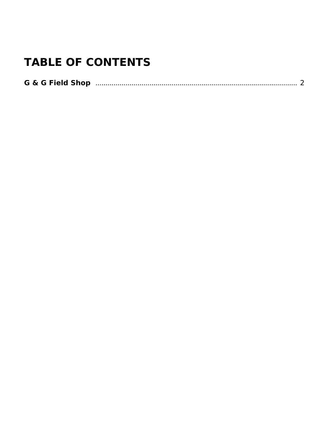# **TABLE OF CONTENTS**

| <b>G &amp; G Field Shop</b> |
|-----------------------------|
|-----------------------------|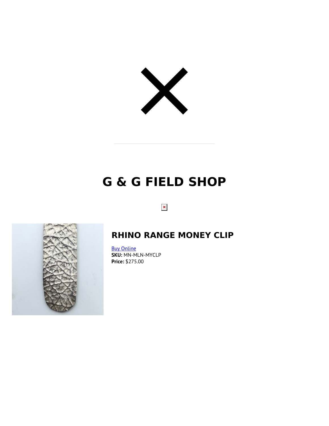<span id="page-1-1"></span><span id="page-1-0"></span>

# **G & G FIELD SHOP**

 $\pmb{\times}$ 



### **RHINO RANGE MONEY CLIP**

[Buy Online](https://nortonandhodges.com/product/rhino-range-money-clip/?utm_source=file&utm_medium=PDF&utm_campaign=g-g-field-shop&utm_term=Rhino+Range+Money+Clip) **SKU:** MN-MLN-MYCLP **Price:** \$275.00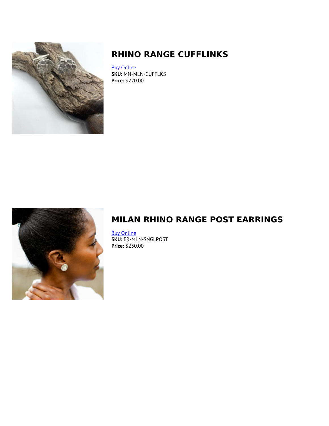<span id="page-2-0"></span>

## **RHINO RANGE CUFFLINKS**

[Buy Online](https://nortonandhodges.com/product/rhino-range-cuff-links/?utm_source=file&utm_medium=PDF&utm_campaign=g-g-field-shop&utm_term=Rhino+Range+Cufflinks) **SKU:** MN-MLN-CUFFLKS **Price:** \$220.00



## **MILAN RHINO RANGE POST EARRINGS**

[Buy Online](https://nortonandhodges.com/product/milan-rhino-range-post-earrings/?utm_source=file&utm_medium=PDF&utm_campaign=g-g-field-shop&utm_term=Milan+Rhino+Range+Post+Earrings) **SKU:** ER-MLN-SNGLPOST **Price:** \$250.00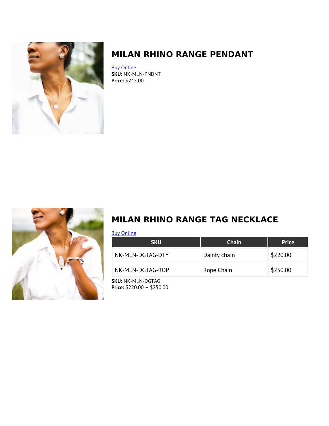<span id="page-3-0"></span>

## **MILAN RHINO RANGE PENDANT**

[Buy Online](https://nortonandhodges.com/product/milan-rhino-range-pendant/?utm_source=file&utm_medium=PDF&utm_campaign=g-g-field-shop&utm_term=Milan+Rhino+Range+Pendant) **SKU:** NK-MLN-PNDNT **Price:** \$245.00



## **MILAN RHINO RANGE TAG NECKLACE**

[Buy Online](https://nortonandhodges.com/product/milan-rhino-range-tag-necklace/?utm_source=file&utm_medium=PDF&utm_campaign=g-g-field-shop&utm_term=Milan+Rhino+Range+Tag+Necklace)

| <b>SKU</b>                | <b>Chain</b> | <b>Price</b> |
|---------------------------|--------------|--------------|
| NK-MLN-DGTAG-DTY          | Dainty chain | \$220.00     |
| NK-MLN-DGTAG-ROP          | Rope Chain   | \$250.00     |
| <b>SKII</b> NK-MI N-DGTAG |              |              |

**SKU:** NK-MLN-DGTAG **Price:** \$220.00 – \$250.00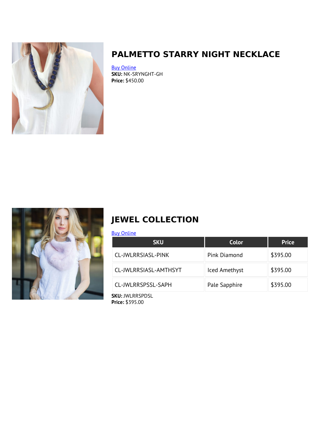<span id="page-4-0"></span>

## **PALMETTO STARRY NIGHT NECKLACE**

[Buy Online](https://nortonandhodges.com/product/palmetto-starry-night-necklace/?utm_source=file&utm_medium=PDF&utm_campaign=g-g-field-shop&utm_term=Palmetto+Starry+Night+Necklace) **SKU:** NK-SRYNGHT-GH **Price:** \$450.00



## **JEWEL COLLECTION**

#### [Buy Online](https://nortonandhodges.com/product/jewel-collection/?utm_source=file&utm_medium=PDF&utm_campaign=g-g-field-shop&utm_term=Jewel+Collection)

| <b>SKU</b>            | Color         | <b>Price</b> |
|-----------------------|---------------|--------------|
| CL-JWLRRSIASL-PINK    | Pink Diamond  | \$395.00     |
| CL-JWLRRSIASL-AMTHSYT | Iced Amethyst | \$395.00     |
| CL-JWLRRSPSSL-SAPH    | Pale Sapphire | \$395.00     |

**SKU:** JWLRRSPDSL **Price:** \$395.00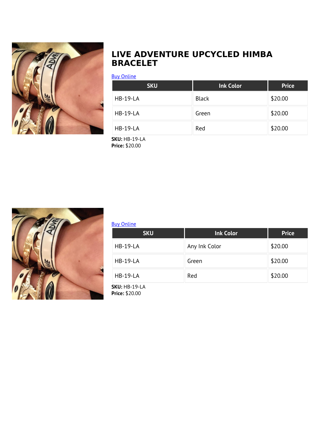<span id="page-5-0"></span>

### **LIVE ADVENTURE UPCYCLED HIMBA BRACELET**

#### [Buy Online](https://nortonandhodges.com/product/live-adventure-upcycled-himba-bracelet/?utm_source=file&utm_medium=PDF&utm_campaign=g-g-field-shop&utm_term=Live+Adventure+Upcycled+Himba+Bracelet)

| <b>SKU</b>      | <b>Ink Color</b> | <b>Price</b> |
|-----------------|------------------|--------------|
| <b>HB-19-LA</b> | <b>Black</b>     | \$20.00      |
| <b>HB-19-LA</b> | Green            | \$20.00      |
| <b>HB-19-LA</b> | Red              | \$20.00      |

**SKU:** HB-19-LA **Price:** \$20.00



#### [Buy Online](https://nortonandhodges.com/product/9851/?utm_source=file&utm_medium=PDF&utm_campaign=g-g-field-shop&utm_term=)

| <b>SKU</b>      | <b>Ink Color</b> | <b>Price</b> |
|-----------------|------------------|--------------|
| <b>HB-19-LA</b> | Any Ink Color    | \$20.00      |
| <b>HB-19-LA</b> | Green            | \$20.00      |
| <b>HB-19-LA</b> | Red              | \$20.00      |

**SKU:** HB-19-LA **Price:** \$20.00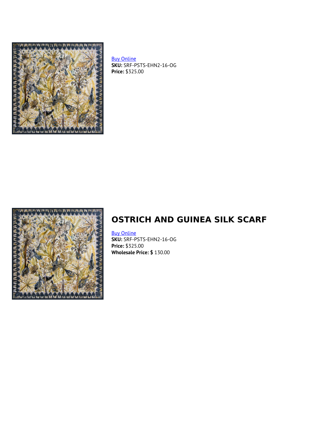<span id="page-6-0"></span>

[Buy Online](https://nortonandhodges.com/product/9911/?utm_source=file&utm_medium=PDF&utm_campaign=g-g-field-shop&utm_term=) **SKU:** SRF-PSTS-EHN2-16-OG **Price:** \$325.00



## **OSTRICH AND GUINEA SILK SCARF**

#### [Buy Online](https://nortonandhodges.com/product/ostrich-and-guinea-silk-scarf/?utm_source=file&utm_medium=PDF&utm_campaign=g-g-field-shop&utm_term=Ostrich+and+Guinea+Silk+Scarf)

**SKU:** SRF-PSTS-EHN2-16-OG **Price:** \$325.00 **Wholesale Price: \$** 130.00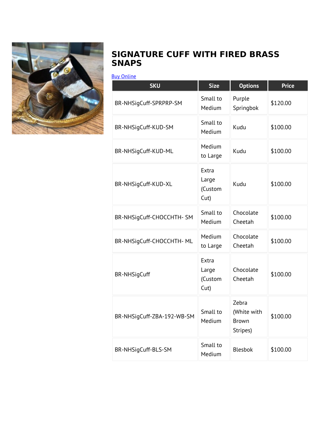<span id="page-7-0"></span>

### **SIGNATURE CUFF WITH FIRED BRASS SNAPS**

#### [Buy Online](https://nortonandhodges.com/product/zebra-signature-cuff-with-fired-brass-snaps-2/?utm_source=file&utm_medium=PDF&utm_campaign=g-g-field-shop&utm_term=Signature+Cuff+with+Fired+Brass+Snaps)

| <b>SKU</b>                 | <b>Size</b>                          | <b>Options</b>                            | <b>Price</b> |
|----------------------------|--------------------------------------|-------------------------------------------|--------------|
| BR-NHSigCuff-SPRPRP-SM     | Small to<br>Medium                   | Purple<br>Springbok                       | \$120.00     |
| BR-NHSigCuff-KUD-SM        | Small to<br>Medium                   | Kudu                                      | \$100.00     |
| BR-NHSigCuff-KUD-ML        | Medium<br>to Large                   | Kudu                                      | \$100.00     |
| BR-NHSigCuff-KUD-XL        | Extra<br>Large<br>(Custom<br>$Cut$ ) | Kudu                                      | \$100.00     |
| BR-NHSigCuff-CHOCCHTH-SM   | Small to<br>Medium                   | Chocolate<br>Cheetah                      | \$100.00     |
| BR-NHSigCuff-CHOCCHTH- ML  | Medium<br>to Large                   | Chocolate<br>Cheetah                      | \$100.00     |
| <b>BR-NHSigCuff</b>        | Extra<br>Large<br>(Custom<br>Cut)    | Chocolate<br>Cheetah                      | \$100.00     |
| BR-NHSigCuff-ZBA-192-WB-SM | Small to<br>Medium                   | Zebra<br>(White with<br>Brown<br>Stripes) | \$100.00     |
| BR-NHSigCuff-BLS-SM        | Small to<br>Medium                   | <b>Blesbok</b>                            | \$100.00     |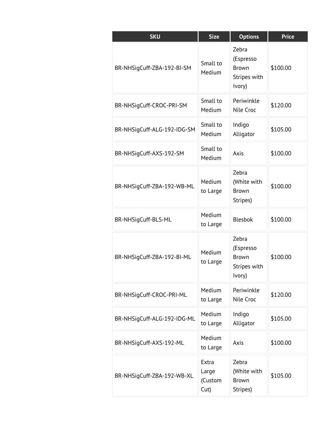| <b>SKU</b>                  | <b>Size</b>                       | <b>Options</b>                                               | <b>Price</b> |
|-----------------------------|-----------------------------------|--------------------------------------------------------------|--------------|
| BR-NHSigCuff-ZBA-192-BI-SM  | Small to<br>Medium                | Zebra<br>(Espresso<br>Brown<br>Stripes with<br>Ivory)        | \$100.00     |
| BR-NHSigCuff-CROC-PRI-SM    | Small to<br>Medium                | Periwinkle<br>Nile Croc                                      | \$120.00     |
| BR-NHSigCuff-ALG-192-IDG-SM | Small to<br>Medium                | Indigo<br>Alligator                                          | \$105.00     |
| BR-NHSigCuff-AXS-192-SM     | Small to<br>Medium                | Axis                                                         | \$100.00     |
| BR-NHSigCuff-ZBA-192-WB-ML  | Medium<br>to Large                | Zebra<br>(White with<br><b>Brown</b><br>Stripes)             | \$100.00     |
| BR-NHSigCuff-BLS-ML         | Medium<br>to Large                | <b>Blesbok</b>                                               | \$100.00     |
| BR-NHSigCuff-ZBA-192-BI-ML  | Medium<br>to Large                | Zebra<br>(Espresso<br><b>Brown</b><br>Stripes with<br>Ivory) | \$100.00     |
| BR-NHSigCuff-CROC-PRI-ML    | Medium<br>to Large                | Periwinkle<br>Nile Croc                                      | \$120.00     |
| BR-NHSigCuff-ALG-192-IDG-ML | Medium<br>to Large                | Indigo<br>Alligator                                          | \$105.00     |
| BR-NHSigCuff-AXS-192-ML     | Medium<br>to Large                | Axis                                                         | \$100.00     |
| BR-NHSigCuff-ZBA-192-WB-XL  | Extra<br>Large<br>(Custom<br>Cut) | Zebra<br>(White with<br>Brown<br>Stripes)                    | \$105.00     |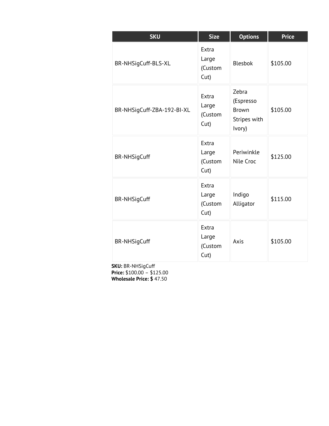| <b>SKU</b>                 | <b>Size</b>                       | <b>Options</b>                                               | <b>Price</b> |
|----------------------------|-----------------------------------|--------------------------------------------------------------|--------------|
| BR-NHSigCuff-BLS-XL        | Extra<br>Large<br>(Custom<br>Cut) | <b>Blesbok</b>                                               | \$105.00     |
| BR-NHSigCuff-ZBA-192-BI-XL | Extra<br>Large<br>(Custom<br>Cut) | Zebra<br>(Espresso<br><b>Brown</b><br>Stripes with<br>Ivory) | \$105.00     |
| <b>BR-NHSigCuff</b>        | Extra<br>Large<br>(Custom<br>Cut) | Periwinkle<br>Nile Croc                                      | \$125.00     |
| <b>BR-NHSigCuff</b>        | Extra<br>Large<br>(Custom<br>Cut) | Indigo<br>Alligator                                          | \$115.00     |
| <b>BR-NHSigCuff</b>        | Extra<br>Large<br>(Custom<br>Cut) | Axis                                                         | \$105.00     |

**SKU:** BR-NHSigCuff **Price:** \$100.00 – \$125.00 **Wholesale Price: \$** 47.50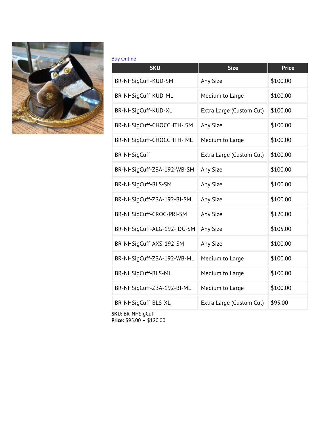

#### [Buy Online](https://nortonandhodges.com/product/9944/?utm_source=file&utm_medium=PDF&utm_campaign=g-g-field-shop&utm_term=)

| <b>SKU</b>                  | <b>Size</b>              | <b>Price</b> |
|-----------------------------|--------------------------|--------------|
| BR-NHSigCuff-KUD-SM         | Any Size                 | \$100.00     |
| BR-NHSigCuff-KUD-ML         | Medium to Large          | \$100.00     |
| BR-NHSigCuff-KUD-XL         | Extra Large (Custom Cut) | \$100.00     |
| BR-NHSigCuff-CHOCCHTH-SM    | Any Size                 | \$100.00     |
| BR-NHSigCuff-CHOCCHTH- ML   | Medium to Large          | \$100.00     |
| <b>BR-NHSigCuff</b>         | Extra Large (Custom Cut) | \$100.00     |
| BR-NHSigCuff-ZBA-192-WB-SM  | Any Size                 | \$100.00     |
| BR-NHSigCuff-BLS-SM         | Any Size                 | \$100.00     |
| BR-NHSigCuff-ZBA-192-BI-SM  | Any Size                 | \$100.00     |
| BR-NHSigCuff-CROC-PRI-SM    | Any Size                 | \$120.00     |
| BR-NHSigCuff-ALG-192-IDG-SM | Any Size                 | \$105.00     |
| BR-NHSigCuff-AXS-192-SM     | Any Size                 | \$100.00     |
| BR-NHSigCuff-ZBA-192-WB-ML  | Medium to Large          | \$100.00     |
| BR-NHSigCuff-BLS-ML         | Medium to Large          | \$100.00     |
| BR-NHSigCuff-ZBA-192-BI-ML  | Medium to Large          | \$100.00     |
| BR-NHSigCuff-BLS-XL         | Extra Large (Custom Cut) | \$95.00      |

**SKU:** BR-NHSigCuff **Price:** \$95.00 – \$120.00